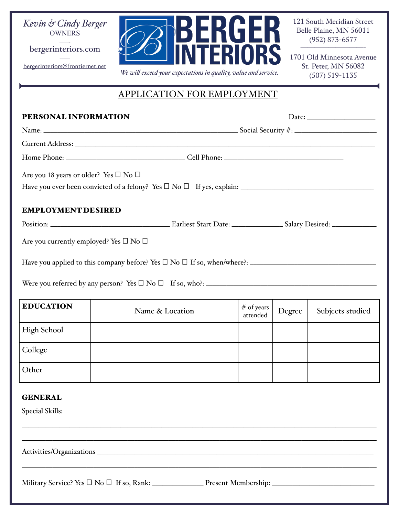

**———**  bergerinteriors.com —————

[bergerinteriors@frontiernet.net](mailto:bergerinteriors@frontiernet.net)



121 South Meridian Street Belle Plaine, MN 56011 (952) 873-6577

1701 Old Minnesota Avenue St. Peter, MN 56082 (507) 519-1135

—————————-

## APPLICATION FOR EMPLOYMENT

| PERSONAL INFORMATION                                   |                                                                                                               |                        | Date: $\qquad \qquad$ |                  |  |  |
|--------------------------------------------------------|---------------------------------------------------------------------------------------------------------------|------------------------|-----------------------|------------------|--|--|
|                                                        |                                                                                                               |                        |                       |                  |  |  |
|                                                        | Current Address: No. 2014 19:30 19:30 19:30 19:30 19:30 19:30 19:30 19:30 19:30 19:30 19:30 19:30 19:30 19:30 |                        |                       |                  |  |  |
|                                                        |                                                                                                               |                        |                       |                  |  |  |
| Are you 18 years or older? Yes $\square$ No $\square$  |                                                                                                               |                        |                       |                  |  |  |
|                                                        |                                                                                                               |                        |                       |                  |  |  |
| <b>EMPLOYMENT DESIRED</b>                              |                                                                                                               |                        |                       |                  |  |  |
|                                                        |                                                                                                               |                        |                       |                  |  |  |
| Are you currently employed? Yes $\square$ No $\square$ |                                                                                                               |                        |                       |                  |  |  |
|                                                        |                                                                                                               |                        |                       |                  |  |  |
| <b>EDUCATION</b>                                       | Name & Location                                                                                               | # of years<br>attended | Degree                | Subjects studied |  |  |
| <b>High School</b>                                     |                                                                                                               |                        |                       |                  |  |  |
| College                                                |                                                                                                               |                        |                       |                  |  |  |
| Other                                                  |                                                                                                               |                        |                       |                  |  |  |
| <b>GENERAL</b><br><b>Special Skills:</b>               |                                                                                                               |                        |                       |                  |  |  |
|                                                        |                                                                                                               |                        |                       |                  |  |  |
|                                                        |                                                                                                               |                        |                       |                  |  |  |
|                                                        |                                                                                                               |                        |                       |                  |  |  |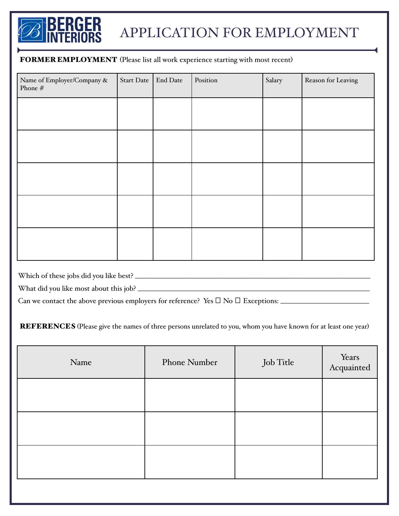

## APPLICATION FOR EMPLOYMENT

## FORMER EMPLOYMENT (Please list all work experience starting with most recent)

| Name of Employer/Company &<br>Phone $\#$ | <b>Start Date</b> | End Date | Position | Salary | Reason for Leaving |
|------------------------------------------|-------------------|----------|----------|--------|--------------------|
|                                          |                   |          |          |        |                    |
|                                          |                   |          |          |        |                    |
|                                          |                   |          |          |        |                    |
|                                          |                   |          |          |        |                    |
|                                          |                   |          |          |        |                    |
|                                          |                   |          |          |        |                    |

Which of these jobs did you like best? \_\_\_\_\_\_\_\_\_\_\_\_\_\_\_\_\_\_\_\_\_\_\_\_\_\_\_\_\_\_\_\_\_\_\_\_\_\_\_\_\_\_\_\_\_\_\_\_\_\_\_\_\_\_\_\_\_\_\_\_\_\_\_\_\_\_\_\_\_

What did you like most about this job? \_\_\_\_\_\_\_\_\_\_\_\_\_\_\_\_\_\_\_\_\_\_\_\_\_\_\_\_\_\_\_\_\_\_\_\_\_\_\_\_\_\_\_\_\_\_\_\_\_\_\_\_\_\_\_\_\_\_\_\_\_\_\_\_\_\_\_\_

Can we contact the above previous employers for reference? Yes ⎕ No ⎕ Exceptions: \_\_\_\_\_\_\_\_\_\_\_\_\_\_\_\_\_\_\_\_\_\_\_\_\_\_

REFERENCES (Please give the names of three persons unrelated to you, whom you have known for at least one year)

| Name | <b>Phone Number</b> | Job Title | Years<br>Acquainted |
|------|---------------------|-----------|---------------------|
|      |                     |           |                     |
|      |                     |           |                     |
|      |                     |           |                     |